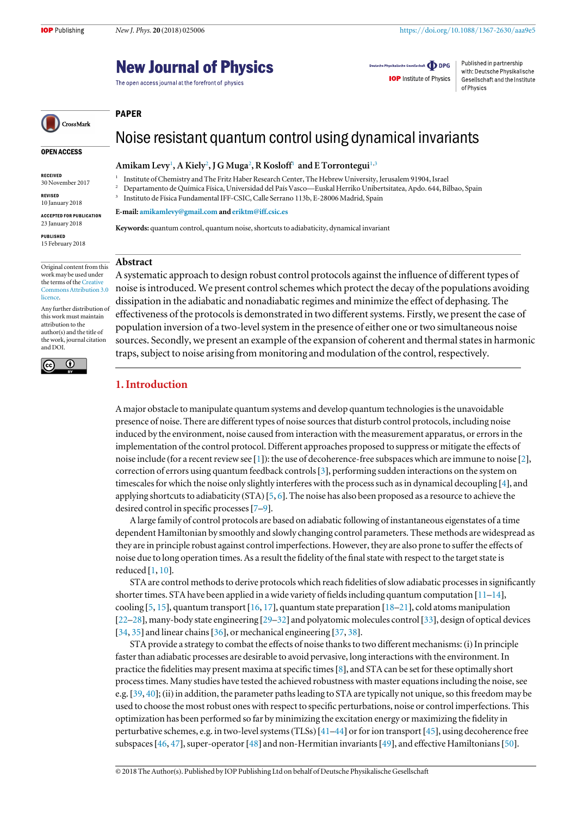## **New Journal of Physics**

The open access journal at the forefront of physics

Deutsche Physikalische Gesellschaft **ODPG** 

**IOP** Institute of Physics

Published in partnership with: Deutsche Physikalische Gesellschaft and the Institute of Physics

# CrossMark

### OPEN ACCESS

RECEIVED

30 November 2017

REVISED 10 January 2018

ACCEPTED FOR PUBLICATION 23 January 2018

PUBLISHED 15 February 2018

Original content from this work may be used under the terms of the [Creative](http://creativecommons.org/licenses/by/3.0) [Commons Attribution 3.0](http://creativecommons.org/licenses/by/3.0) [licence.](http://creativecommons.org/licenses/by/3.0)

Any further distribution of this work must maintain attribution to the author(s) and the title of the work, journal citation and DOI.



Noise resistant quantum control using dynamical invariants

## Amikam Levy<sup>1</sup>, A Kiely<sup>2</sup>, J G Muga<sup>2</sup>, R Kosloff<sup>1</sup> and E Torrontegui<sup>1,3</sup>

<sup>1</sup> Institute of Chemistry and The Fritz Haber Research Center, The Hebrew University, Jerusalem 91904, Israel

- <sup>2</sup> Departamento de Química Física, Universidad del País Vasco—Euskal Herriko Unibertsitatea, Apdo. 644, Bilbao, Spain
- <sup>3</sup> Instituto de Física Fundamental IFF-CSIC, Calle Serrano 113b, E-28006 Madrid, Spain

E-mail: [amikamlevy@gmail.com](mailto:amikamlevy@gmail.com) and [eriktm@iff.csic.es](mailto:eriktm@iff.csic.es)

Keywords: quantum control, quantum noise, shortcuts to adiabaticity, dynamical invariant

#### Abstract

PAPER

A systematic approach to design robust control protocols against the influence of different types of noise is introduced. We present control schemes which protect the decay of the populations avoiding dissipation in the adiabatic and nonadiabatic regimes and minimize the effect of dephasing. The effectiveness of the protocols is demonstrated in two different systems. Firstly, we present the case of population inversion of a two-level system in the presence of either one or two simultaneous noise sources. Secondly, we present an example of the expansion of coherent and thermal states in harmonic traps, subject to noise arising from monitoring and modulation of the control, respectively.

## 1. Introduction

A major obstacle to manipulate quantum systems and develop quantum technologies is the unavoidable presence of noise. There are different types of noise sources that disturb control protocols, including noise induced by the environment, noise caused from interaction with the measurement apparatus, or errors in the implementation of the control protocol. Different approaches proposed to suppress or mitigate the effects of noise include (for a recent review see [[1](#page-12-0)]): the use of decoherence-free subspaces which are immune to noise [[2](#page-12-0)], correction of errors using quantum feedback controls[[3](#page-12-0)], performing sudden interactions on the system on timescales for which the noise only slightly interferes with the process such as in dynamical decoupling [[4](#page-12-0)], and applying shortcuts to adiabaticity (STA) [[5,](#page-12-0) [6](#page-12-0)]. The noise has also been proposed as a resource to achieve the desired control in specific processes[[7](#page-12-0)–[9](#page-12-0)].

A large family of control protocols are based on adiabatic following of instantaneous eigenstates of a time dependent Hamiltonian by smoothly and slowly changing control parameters. These methods are widespread as they are in principle robust against control imperfections. However, they are also prone to suffer the effects of noise due to long operation times. As a result the fidelity of the final state with respect to the target state is reduced [[1](#page-12-0), [10](#page-12-0)].

STA are control methods to derive protocols which reach fidelities of slow adiabatic processes in significantly shorter times. STA have been applied in a wide variety of fields including quantum computation  $[11-14]$  $[11-14]$  $[11-14]$  $[11-14]$  $[11-14]$ , cooling [[5,](#page-12-0) [15](#page-12-0)], quantum transport [[16,](#page-12-0) [17](#page-12-0)], quantum state preparation [[18](#page-12-0)–[21](#page-12-0)], cold atoms manipulation [[22](#page-12-0)–[28](#page-12-0)], many-body state engineering [[29](#page-12-0)–[32](#page-12-0)] and polyatomic molecules control [[33](#page-12-0)], design of optical devices [[34,](#page-12-0) [35](#page-12-0)] and linear chains [[36](#page-12-0)], or mechanical engineering [[37](#page-12-0), [38](#page-12-0)].

STA provide a strategy to combat the effects of noise thanks to two different mechanisms: (i)In principle faster than adiabatic processes are desirable to avoid pervasive, long interactions with the environment. In practice the fidelities may present maxima at specific times[[8](#page-12-0)], and STA can be set for these optimally short process times. Many studies have tested the achieved robustness with master equations including the noise, see e.g.[[39,](#page-12-0) [40](#page-12-0)];(ii) in addition, the parameter paths leading to STA are typically not unique, so this freedom may be used to choose the most robust ones with respect to specific perturbations, noise or control imperfections. This optimization has been performed so far by minimizing the excitation energy or maximizing the fidelity in perturbative schemes, e.g. in two-level systems(TLSs) [[41](#page-12-0)–[44](#page-13-0)] or for ion transport [[45](#page-13-0)], using decoherence free subspaces[[46](#page-13-0), [47](#page-13-0)], super-operator[[48](#page-13-0)] and non-Hermitian invariants[[49](#page-13-0)], and effective Hamiltonians[[50](#page-13-0)].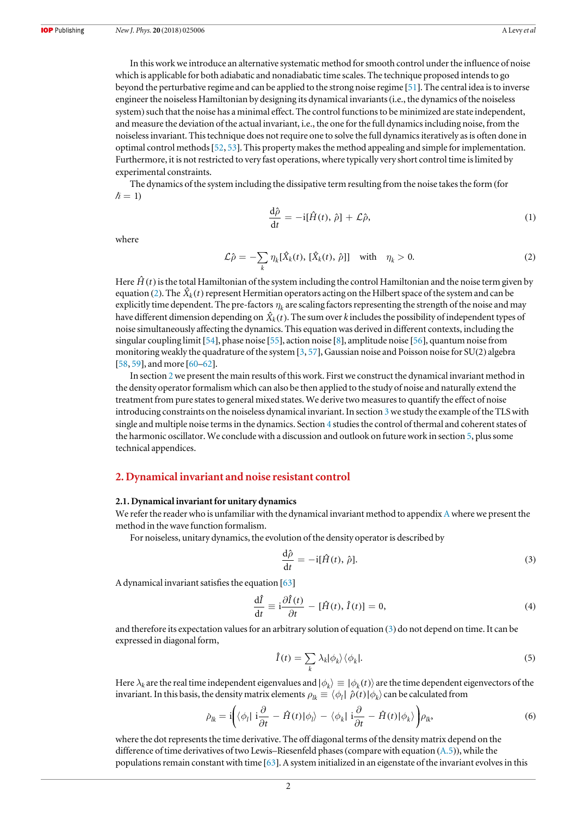<span id="page-1-0"></span>In this work we introduce an alternative systematic method for smooth control under the influence of noise which is applicable for both adiabatic and nonadiabatic time scales. The technique proposed intends to go beyond the perturbative regime and can be applied to the strong noise regime [[51](#page-13-0)]. The central idea is to inverse engineer the noiseless Hamiltonian by designing its dynamical invariants(i.e., the dynamics of the noiseless system) such that the noise has a minimal effect. The control functions to be minimized are state independent, and measure the deviation of the actual invariant, i.e., the one for the full dynamics including noise, from the noiseless invariant. This technique does not require one to solve the full dynamics iteratively as is often done in optimal control methods[[52,](#page-13-0) [53](#page-13-0)]. This property makes the method appealing and simple for implementation. Furthermore, it is not restricted to very fast operations, where typically very short control time is limited by experimental constraints.

The dynamics of the system including the dissipative term resulting from the noise takes the form (for  $\hslash = 1$ 

$$
\frac{\mathrm{d}\hat{\rho}}{\mathrm{d}t} = -\mathrm{i}[\hat{H}(t), \hat{\rho}] + \mathcal{L}\hat{\rho},\tag{1}
$$

where

$$
\mathcal{L}\hat{\rho} = -\sum_{k} \eta_k [\hat{X}_k(t), [\hat{X}_k(t), \hat{\rho}]] \quad \text{with} \quad \eta_k > 0. \tag{2}
$$

Here  $\hat{H}(t)$  is the total Hamiltonian of the system including the control Hamiltonian and the noise term given by equation (2). The  $\hat{X}_k(t)$  represent Hermitian operators acting on the Hilbert space of the system and can be explicitly time dependent. The pre-factors  $\eta_k$  are scaling factors representing the strength of the noise and may have different dimension depending on  $\hat{X}_k(t)$ . The sum over k includes the possibility of independent types of noise simultaneously affecting the dynamics. This equation was derived in different contexts, including the singular coupling limit[[54](#page-13-0)], phase noise [[55](#page-13-0)], action noise [[8](#page-12-0)], amplitude noise [[56](#page-13-0)], quantum noise from monitoring weakly the quadrature of the system [[3](#page-12-0), [57](#page-13-0)], Gaussian noise and Poisson noise for SU(2) algebra [[58,](#page-13-0) [59](#page-13-0)], and more [[60](#page-13-0)–[62](#page-13-0)].

In section 2we present the main results of this work. First we construct the dynamical invariant method in the density operator formalism which can also be then applied to the study of noise and naturally extend the treatment from pure states to general mixed states. We derive two measures to quantify the effect of noise introducing constraints on the noiseless dynamical invariant. In section [3](#page-3-0) we study the example of the TLS with single and multiple noise terms in the dynamics. Section [4](#page-4-0) studies the control of thermal and coherent states of the harmonic oscillator. We conclude with a discussion and outlook on future work in section [5,](#page-7-0) plus some technical appendices.

#### 2. Dynamical invariant and noise resistant control

#### 2.1. Dynamical invariant for unitary dynamics

We refer the reader who is unfamiliar with the dynamical invariant method to appendix  $A$  where we present the method in the wave function formalism.

For noiseless, unitary dynamics, the evolution of the density operator is described by

$$
\frac{\mathrm{d}\hat{\rho}}{\mathrm{d}t} = -\mathrm{i}[\hat{H}(t), \hat{\rho}].\tag{3}
$$

A dynamical invariant satisfies the equation [[63](#page-13-0)]

$$
\frac{\mathrm{d}\hat{I}}{\mathrm{d}t} \equiv \mathrm{i}\frac{\partial \hat{I}(t)}{\partial t} - [\hat{H}(t), \hat{I}(t)] = 0,\tag{4}
$$

and therefore its expectation values for an arbitrary solution of equation (3) do not depend on time. It can be expressed in diagonal form,

$$
\hat{I}(t) = \sum_{k} \lambda_k |\phi_k\rangle \langle \phi_k|.
$$
\n(5)

Here  $\lambda_k$  are the real time independent eigenvalues and  $|\phi_k\rangle \equiv |\phi_k(t)\rangle$  are the time dependent eigenvectors of the invariant. In this basis, the density matrix elements  $\rho_{lk} \equiv \langle \phi_l | \hat{\rho}(t) | \phi_k \rangle$  can be calculated from

$$
\dot{\rho}_{lk} = i \bigg( \langle \phi_l | i \frac{\partial}{\partial t} - \hat{H}(t) | \phi_l \rangle - \langle \phi_k | i \frac{\partial}{\partial t} - \hat{H}(t) | \phi_k \rangle \bigg) \rho_{lk}, \tag{6}
$$

where the dot represents the time derivative. The off diagonal terms of the density matrix depend on the difference of time derivatives of two Lewis–Riesenfeld phases(compare with equation ([A.5](#page-8-0))), while the populations remain constant with time [[63](#page-13-0)]. A system initialized in an eigenstate of the invariant evolves in this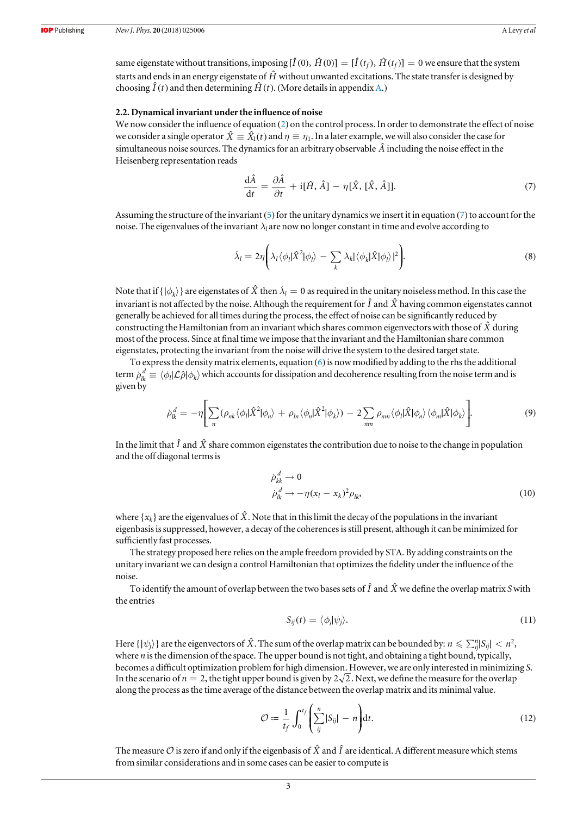<span id="page-2-0"></span>same eigenstate without transitions, imposing  $[\hat{I}(0), \hat{H}(0)] = [\hat{I}(t_f), \hat{H}(t_f)] = 0$  we ensure that the system starts and ends in an energy eigenstate of *H*ˆ without unwanted excitations. The state transfer is designed by choosing  $\hat{I}(t)$  and then determining  $\hat{H}(t)$ . (More details in appendix [A.](#page-8-0))

#### 2.2. Dynamical invariant under the influence of noise

We now consider the influence of equation ([2](#page-1-0)) on the control process. In order to demonstrate the effect of noise we consider a single operator  $\hat{X} \equiv \hat{X}_1(t)$  and  $\eta \equiv \eta_1$ . In a later example, we will also consider the case for simultaneous noise sources. The dynamics for an arbitrary observable  $\hat{A}$  including the noise effect in the Heisenberg representation reads

$$
\frac{\mathrm{d}\hat{A}}{\mathrm{d}t} = \frac{\partial \hat{A}}{\partial t} + \mathrm{i} [\hat{H}, \hat{A}] - \eta [\hat{X}, [\hat{X}, \hat{A}]]. \tag{7}
$$

Assuming the structure of the invariant ([5](#page-1-0)) for the unitary dynamics we insert it in equation (7) to account for the noise. The eigenvalues of the invariant  $\lambda_l$  are now no longer constant in time and evolve according to

$$
\dot{\lambda}_l = 2\eta \bigg( \lambda_l \langle \phi_l | \hat{X}^2 | \phi_l \rangle - \sum_k \lambda_k | \langle \phi_k | \hat{X} | \phi_l \rangle |^2 \bigg). \tag{8}
$$

Note that if  $\{\ket{\phi_k}\}$  are eigenstates of  $\hat{X}$  then  $\lambda_l = 0$  as required in the unitary noiseless method. In this case the invariant is not affected by the noise. Although the requirement for  $\hat{I}$  and  $\hat{X}$  having common eigenstates cannot generally be achieved for all times during the process, the effect of noise can be significantly reduced by constructing the Hamiltonian from an invariant which shares common eigenvectors with those of *X*ˆ during most of the process. Since at final time we impose that the invariant and the Hamiltonian share common eigenstates, protecting the invariant from the noise will drive the system to the desired target state.

To express the density matrix elements, equation ([6](#page-1-0)) is now modified by adding to the rhs the additional term  $\dot{\rho}^{\,d}_k\equiv\langle\phi_l|{\cal L}\hat\rho|\phi_k\rangle$  which accounts for dissipation and decoherence resulting from the noise term and is given by

$$
\dot{\rho}_k^d = -\eta \bigg[ \sum_n (\rho_{nk} \langle \phi_l | \hat{X}^2 | \phi_n \rangle + \rho_{ln} \langle \phi_n | \hat{X}^2 | \phi_k \rangle) - 2 \sum_{nm} \rho_{nm} \langle \phi_l | \hat{X} | \phi_n \rangle \langle \phi_m | \hat{X} | \phi_k \rangle \bigg]. \tag{9}
$$

In the limit that  $\hat{I}$  and  $\hat{X}$  share common eigenstates the contribution due to noise to the change in population and the off diagonal terms is

$$
\dot{\rho}_{kk}^d \to 0
$$
  
\n
$$
\dot{\rho}_k^d \to -\eta (x_l - x_k)^2 \rho_{lk},
$$
\n(10)

where  $\{x_k\}$  are the eigenvalues of  $\hat{X}$ . Note that in this limit the decay of the populations in the invariant eigenbasis is suppressed, however, a decay of the coherences is still present, although it can be minimized for sufficiently fast processes.

The strategy proposed here relies on the ample freedom provided by STA. By adding constraints on the unitary invariant we can design a control Hamiltonian that optimizes the fidelity under the influence of the noise.

To identify the amount of overlap between the two bases sets of  $\hat{I}$  and  $\hat{X}$  we define the overlap matrix S with the entries

$$
S_{ij}(t) = \langle \phi_i | \psi_j \rangle. \tag{11}
$$

Here  $\{|{\psi_i}\rangle$  are the eigenvectors of  $\hat{X}$ . The sum of the overlap matrix can be bounded by:  $n \leq \sum_{i=1}^{n} |S_{ii}| \leq n^2$ , where *n* is the dimension of the space. The upper bound is not tight, and obtaining a tight bound, typically, becomes a difficult optimization problem for high dimension. However, we are only interested in minimizing S. In the scenario of  $n = 2$ , the tight upper bound is given by  $2\sqrt{2}$ . Next, we define the measure for the overlap along the process as the time average of the distance between the overlap matrix and its minimal value.

$$
\mathcal{O} := \frac{1}{t_f} \int_0^{t_f} \left( \sum_{ij}^n |S_{ij}| - n \right) dt. \tag{12}
$$

The measure  $\mathcal O$  is zero if and only if the eigenbasis of  $\hat X$  and  $\hat I$  are identical. A different measure which stems from similar considerations and in some cases can be easier to compute is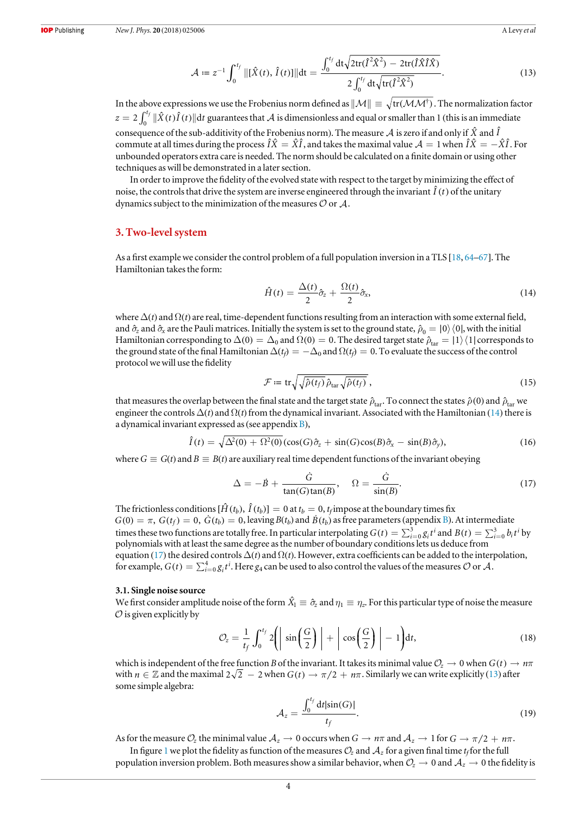$$
\mathcal{A} \coloneqq z^{-1} \int_0^{t_f} \|[\hat{X}(t), \hat{I}(t)]\| dt = \frac{\int_0^{t_f} dt \sqrt{2 \text{tr}(\hat{I}^2 \hat{X}^2) - 2 \text{tr}(\hat{I} \hat{X} \hat{I} \hat{X})}}{2 \int_0^{t_f} dt \sqrt{\text{tr}(\hat{I}^2 \hat{X}^2)}}.
$$
(13)

<span id="page-3-0"></span>In the above expressions we use the Frobenius norm defined as  $\|\mathcal{M}\| \equiv \sqrt{\text{tr}(\mathcal{M}\mathcal{M}^{\dagger})}$ . The normalization factor  $z = 2 \int_0^{t_f} ||\hat{X}(t) \hat{I}(t)|| dt$  $\hat{f}\,\|\hat{X}(t)\hat{I}(t)\|$ d $t$  guarantees that  ${\cal A}$  is dimensionless and equal or smaller than 1 (this is an immediate consequence of the sub-additivity of the Frobenius norm). The measure  $A$  is zero if and only if  $\hat{X}$  and  $\hat{I}$ commute at all times during the process  $\hat{I}\hat{X} = \hat{X}\hat{I}$ , and takes the maximal value  $\mathcal{A} = 1$  when  $\hat{I}\hat{X} = -\hat{X}\hat{I}$ . For unbounded operators extra care is needed. The norm should be calculated on a finite domain or using other techniques as will be demonstrated in a later section.

In order to improve the fidelity of the evolved state with respect to the target by minimizing the effect of noise, the controls that drive the system are inverse engineered through the invariant  $\hat{I}(t)$  of the unitary dynamics subject to the minimization of the measures  $\mathcal O$  or  $\mathcal A$ .

#### 3. Two-level system

As a first example we consider the control problem of a full population inversion in a TLS [[18,](#page-12-0) [64](#page-13-0)–[67](#page-13-0)]. The Hamiltonian takes the form:

$$
\hat{H}(t) = \frac{\Delta(t)}{2}\hat{\sigma}_z + \frac{\Omega(t)}{2}\hat{\sigma}_x,\tag{14}
$$

where  $\Delta(t)$  and  $\Omega(t)$  are real, time-dependent functions resulting from an interaction with some external field, and  $\hat{\sigma}_z$  and  $\hat{\sigma}_x$  are the Pauli matrices. Initially the system is set to the ground state,  $\hat{\rho}_0 = |0\rangle\langle 0|$ , with the initial Hamiltonian corresponding to  $\Delta(0) = \Delta_0$  and  $\Omega(0) = 0$ . The desired target state  $\hat{\rho}_{tar} = |1\rangle\langle1|$  corresponds to the ground state of the final Hamiltonian  $\Delta(t_f) = -\Delta_0$  and  $\Omega(t_f) = 0$ . To evaluate the success of the control protocol we will use the fidelity

$$
\mathcal{F} := \operatorname{tr} \sqrt{\sqrt{\hat{\rho}(t_f)}} \, \hat{\rho}_{\text{tar}} \sqrt{\hat{\rho}(t_f)} \,, \tag{15}
$$

that measures the overlap between the final state and the target state  $\hat{\rho}_{tar}$ . To connect the states  $\hat{\rho}(0)$  and  $\hat{\rho}_{tar}$  we engineer the controls  $\Delta(t)$  and  $\Omega(t)$  from the dynamical invariant. Associated with the Hamiltonian (14) there is a dynamical invariant expressed as(see appendix [B](#page-9-0)),

$$
\hat{I}(t) = \sqrt{\Delta^2(0) + \Omega^2(0)} (\cos(G)\hat{\sigma}_z + \sin(G)\cos(B)\hat{\sigma}_x - \sin(B)\hat{\sigma}_y), \tag{16}
$$

where  $G \equiv G(t)$  and  $B \equiv B(t)$  are auxiliary real time dependent functions of the invariant obeying

$$
\Delta = -\dot{B} + \frac{\dot{G}}{\tan(G)\tan(B)}, \quad \Omega = \frac{\dot{G}}{\sin(B)}.
$$
\n(17)

The frictionless conditions  $[\hat{H}(t_b), \hat{I}(t_b)] = 0$  at  $t_b = 0$ ,  $t_f$  impose at the boundary times fix  $G(0) = \pi$ ,  $G(t_f) = 0$ ,  $\dot{G}(t_b) = 0$ , leaving  $B(t_b)$  $B(t_b)$  and  $\dot{B}(t_b)$  as free parameters (appendix B). At intermediate times these two functions are totally free. In particular interpolating  $G(t) = \sum_{i=0}^{3} g_i t^i$  and  $B(t) = \sum_{i=0}^{3} b_i t^i$  by polynomials with at least the same degree as the number of boundary conditions lets us deduce from equation (17) the desired controls  $\Delta(t)$  and  $\Omega(t)$ . However, extra coefficients can be added to the interpolation, for example,  $G(t) = \sum_{i=0}^{4} g_i t^i$ . Here  $g_4$  can be used to also control the values of the measures  $O$  or  $\mathcal{A}$ .

#### 3.1. Single noise source

We first consider amplitude noise of the form  $\hat{X_1}\equiv\hat{\sigma}_z$  and  $\eta_1\equiv\eta_z.$  For this particular type of noise the measure  $\mathcal O$  is given explicitly by

$$
\mathcal{O}_z = \frac{1}{t_f} \int_0^{t_f} 2\left(\left|\sin\left(\frac{G}{2}\right)\right| + \left|\cos\left(\frac{G}{2}\right)\right| - 1\right) dt,\tag{18}
$$

which is independent of the free function *B* of the invariant. It takes its minimal value  $\mathcal{O}_z \to 0$  when  $G(t) \to n\pi$ with  $n \in \mathbb{Z}$  and the maximal  $2\sqrt{2} - 2$  when  $G(t) \to \pi/2 + n\pi$ . Similarly we can write explicitly ([13](#page-2-0)) after some simple algebra:

$$
\mathcal{A}_z = \frac{\int_0^{t_f} dt |\sin(G)|}{t_f}.
$$
\n(19)

As for the measure  $\mathcal{O}_z$  the minimal value  $\mathcal{A}_z \to 0$  occurs when  $G \to n\pi$  and  $\mathcal{A}_z \to 1$  for  $G \to \pi/2 + n\pi$ . In figure [1](#page-4-0) we plot the fidelity as function of the measures  $\mathcal{O}_z$  and  $\mathcal{A}_z$  for a given final time t<sub>f</sub> for the full population inversion problem. Both measures show a similar behavior, when  $\mathcal{O}_z \to 0$  and  $\mathcal{A}_z \to 0$  the fidelity is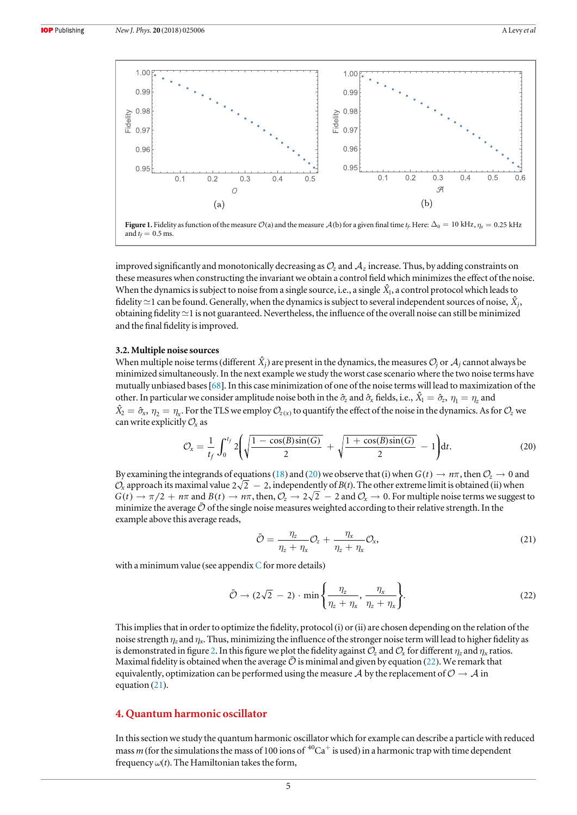<span id="page-4-0"></span>

improved significantly and monotonically decreasing as  $\mathcal{O}_z$  and  $\mathcal{A}_z$  increase. Thus, by adding constraints on these measures when constructing the invariant we obtain a control field which minimizes the effect of the noise. When the dynamics is subject to noise from a single source, i.e., a single  $\hat{X}_{1}$ , a control protocol which leads to fidelity  $\simeq$  1 can be found. Generally, when the dynamics is subject to several independent sources of noise,  $\hat{X}_i$ , obtaining fidelity  $\simeq$  1 is not guaranteed. Nevertheless, the influence of the overall noise can still be minimized and the final fidelity is improved.

#### 3.2. Multiple noise sources

When multiple noise terms (different  $\hat{X}_i$ ) are present in the dynamics, the measures  $\mathcal{O}_i$  or  $\mathcal{A}_i$  cannot always be minimized simultaneously. In the next example we study the worst case scenario where the two noise terms have mutually unbiased bases[[68](#page-13-0)]. In this case minimization of one of the noise terms will lead to maximization of the other. In particular we consider amplitude noise both in the  $\hat{\sigma}_z$  and  $\hat{\sigma}_x$  fields, i.e.,  $\hat{X}_1 = \hat{\sigma}_z$ ,  $\eta_1 = \eta_z$  and  $\hat{X}_2 = \hat{\sigma}_x$ ,  $\eta_2 = \eta_x$ . For the TLS we employ  $\mathcal{O}_{z(x)}$  to quantify the effect of the noise in the dynamics. As for  $\mathcal{O}_z$  we can write explicitly  $\mathcal{O}_x$  as

$$
\mathcal{O}_x = \frac{1}{t_f} \int_0^{t_f} 2 \left( \sqrt{\frac{1 - \cos(B)\sin(G)}{2}} + \sqrt{\frac{1 + \cos(B)\sin(G)}{2}} - 1 \right) dt. \tag{20}
$$

By examining the integrands of equations ([18](#page-3-0)) and (20) we observe that (i) when  $G(t) \to n\pi$ , then  $\mathcal{O}_z \to 0$  and  $\mathcal{O}_x$  approach its maximal value  $2\sqrt{2} - 2$ , independently of  $B(t)$ . The other extreme limit is obtained (ii) when  $G(t) \to \pi/2 + n\pi$  and  $B(t) \to n\pi$ , then,  $\mathcal{O}_z \to 2\sqrt{2} - 2$  and  $\mathcal{O}_x \to 0$ . For multiple noise terms we suggest to minimize the average  $\bar{\mathcal{O}}$  of the single noise measures weighted according to their relative strength. In the example above this average reads,

$$
\bar{\mathcal{O}} = \frac{\eta_z}{\eta_z + \eta_x} \mathcal{O}_z + \frac{\eta_x}{\eta_z + \eta_x} \mathcal{O}_x,\tag{21}
$$

with a minimum value (see appendix  $C$  for more details)

$$
\bar{\mathcal{O}} \to (2\sqrt{2} - 2) \cdot \min\left\{\frac{\eta_z}{\eta_z + \eta_x}, \frac{\eta_x}{\eta_z + \eta_x}\right\}.
$$
 (22)

This implies that in order to optimize the fidelity, protocol (i) or (ii) are chosen depending on the relation of the noise strength  $\eta_z$  and  $\eta_x$ . Thus, minimizing the influence of the stronger noise term will lead to higher fidelity as is demonstrated in figure [2](#page-5-0). In this figure we plot the fidelity against  $\mathcal{O}_z$  and  $\mathcal{O}_x$  for different  $\eta_z$  and  $\eta_x$  ratios. Maximal fidelity is obtained when the average  $\bar{O}$  is minimal and given by equation (22). We remark that equivalently, optimization can be performed using the measure  $\mathcal A$  by the replacement of  $\mathcal O \to \mathcal A$  in equation (21).

## 4. Quantum harmonic oscillator

In this section we study the quantum harmonic oscillator which for example can describe a particle with reduced mass m (for the simulations the mass of 100 ions of  ${}^{40}Ca^+$  is used) in a harmonic trap with time dependent frequency  $\omega(t)$ . The Hamiltonian takes the form,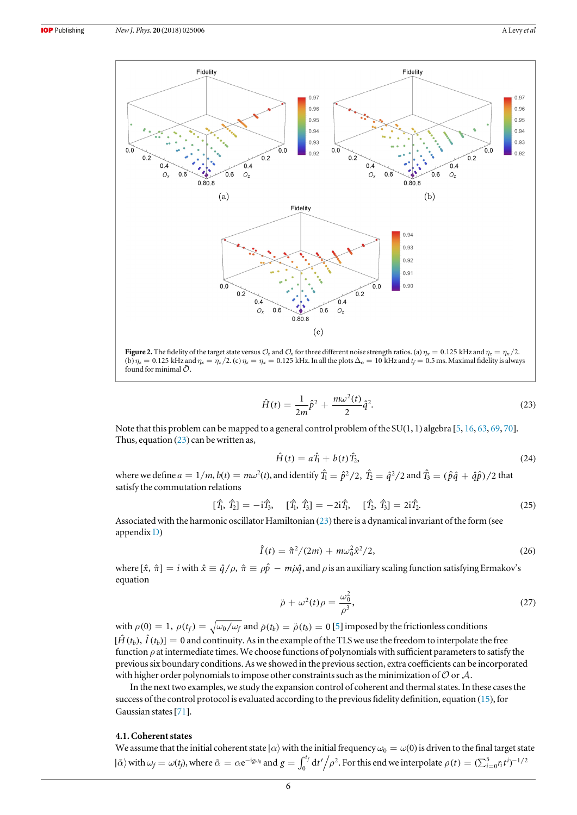$f_{011}$ 

<span id="page-5-0"></span>

(b) 
$$
\eta_z = 0.125
$$
 kHz and  $\eta_x = \eta_z/2$ . (c)  $\eta_z = \eta_x = 0.125$  kHz. In all the plots  $\Delta_o = 10$  kHz and  $t_f = 0.5$  ms. Maximal fidelity is always found for minimal  $\tilde{O}$ .

$$
\hat{H}(t) = \frac{1}{2m}\hat{p}^2 + \frac{m\omega^2(t)}{2}\hat{q}^2.
$$
\n(23)

Note that this problem can be mapped to a general control problem of the SU(1, 1) algebra [[5](#page-12-0), [16,](#page-12-0) [63](#page-13-0), [69](#page-13-0), [70](#page-13-0)]. Thus, equation  $(23)$  $(23)$  $(23)$  can be written as,

$$
\hat{H}(t) = a\hat{T}_1 + b(t)\hat{T}_2,\tag{24}
$$

where we define  $a=1/m$ ,  $b(t)=m\omega^2(t)$ , and identify  $\hat{T_1}=\hat{p}^2/2$ ,  $\hat{T_2}=\hat{q}^2/2$  and  $\hat{T_3}=(\hat{p}\hat{q}+\hat{q}\hat{p})/2$  that satisfy the commutation relations

$$
[\hat{T}_1, \hat{T}_2] = -i\hat{T}_3, \quad [\hat{T}_1, \hat{T}_3] = -2i\hat{T}_1, \quad [\hat{T}_2, \hat{T}_3] = 2i\hat{T}_2. \tag{25}
$$

Associated with the harmonic oscillator Hamiltonian ([23](#page-4-0)) there is a dynamical invariant of the form (see appendix [D](#page-11-0))

$$
\hat{I}(t) = \hat{\pi}^2/(2m) + m\omega_0^2 \hat{x}^2/2,
$$
\n(26)

where  $[\hat{x}, \hat{\pi}] = i$  with  $\hat{x} \equiv \hat{q}/\rho$ ,  $\hat{\pi} \equiv \rho \hat{p} - m \rho \hat{q}$ , and  $\rho$  is an auxiliary scaling function satisfying Ermakov's equation

$$
\ddot{\rho} + \omega^2(t)\rho = \frac{\omega_0^2}{\rho^3},\tag{27}
$$

with  $\rho(0) = 1$ ,  $\rho(t_f) = \sqrt{\omega_0/\omega_f}$  and  $\rho(t_b) = \tilde{\rho}(t_b) = 0$  [[5](#page-12-0)] imposed by the frictionless conditions  $[\hat{H}(t_b), \hat{I}(t_b)] = 0$  and continuity. As in the example of the TLS we use the freedom to interpolate the free function  $\rho$  at intermediate times. We choose functions of polynomials with sufficient parameters to satisfy the previous six boundary conditions. As we showed in the previous section, extra coefficients can be incorporated with higher order polynomials to impose other constraints such as the minimization of  $\mathcal O$  or  $\mathcal A$ .

In the next two examples, we study the expansion control of coherent and thermal states. In these cases the success of the control protocol is evaluated according to the previous fidelity definition, equation ([15](#page-3-0)), for Gaussian states[[71](#page-13-0)].

#### 4.1. Coherent states

We assume that the initial coherent state | $\alpha$ } with the initial frequency  $\omega_0 = \omega(0)$  is driven to the final target state  $|\tilde{\alpha}\rangle$  with  $\omega_f = \omega(t_f)$ , where  $\tilde{\alpha} = \alpha e^{-ig\omega_0}$  and  $g = \int_0^{t_f} dt'/\rho$  $\int^f dt' / \rho^2$ . For this end we interpolate  $\rho(t) = (\sum_{i=0}^5 r_i t^i)^{-1/2}$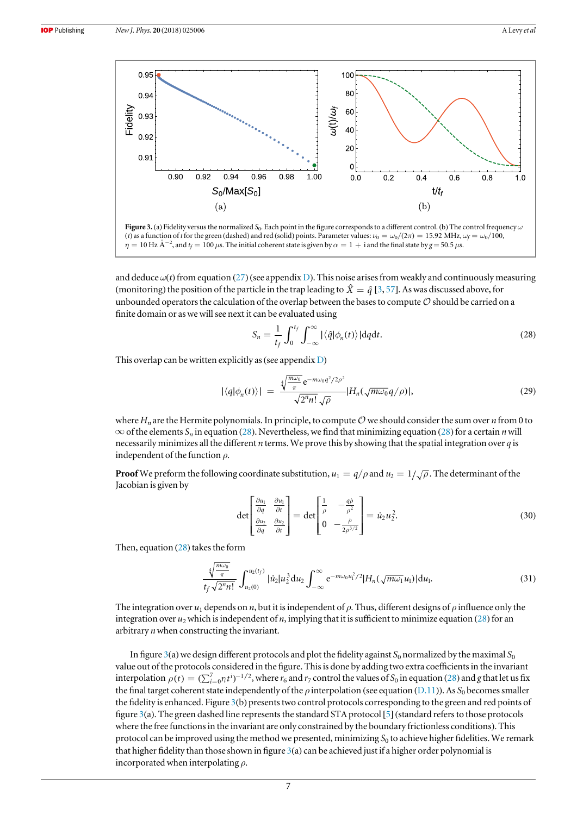

 $\eta=10$  Hz Å<sup>-2</sup>, and  $t_f=100$   $\mu$ s. The initial coherent state is given by  $\alpha=1+1$  and the final state by  $g=50.5$   $\mu$ s.

and deduce  $\omega(t)$  from equation ([27](#page-5-0)) (see appendix [D](#page-11-0)). This noise arises from weakly and continuously measuring (monitoring) the position of the particle in the trap leading to  $\hat{X} = \hat{q}$  [[3](#page-12-0), [57](#page-13-0)]. As was discussed above, for unbounded operators the calculation of the overlap between the bases to compute  $\mathcal O$  should be carried on a finite domain or as we will see next it can be evaluated using

$$
S_n = \frac{1}{t_f} \int_0^{t_f} \int_{-\infty}^{\infty} |\langle \hat{q} | \phi_n(t) \rangle| \, \mathrm{d}q \mathrm{d}t. \tag{28}
$$

This overlap can be written explicitly as (see appendix  $D$ )

$$
|\langle q|\phi_n(t)\rangle| = \frac{\sqrt[4]{\frac{m\omega_0}{\pi}}e^{-m\omega_0 q^2/2\rho^2}}{\sqrt{2^n n!}\sqrt{\rho}}|H_n(\sqrt{m\omega_0}q/\rho)|,\tag{29}
$$

where  $H_n$  are the Hermite polynomials. In principle, to compute  $\mathcal O$  we should consider the sum over n from 0 to  $\infty$  of the elements S<sub>n</sub> in equation (28). Nevertheless, we find that minimizing equation (28) for a certain n will necessarily minimizes all the different  $n$  terms. We prove this by showing that the spatial integration over  $q$  is independent of the function  $\rho$ .

**Proof** We preform the following coordinate substitution,  $u_1 = q/\rho$  and  $u_2 = 1/\sqrt{\rho}$ . The determinant of the Jacobian is given by

$$
\det \begin{bmatrix} \frac{\partial u_1}{\partial q} & \frac{\partial u_1}{\partial t} \\ \frac{\partial u_2}{\partial q} & \frac{\partial u_2}{\partial t} \end{bmatrix} = \det \begin{bmatrix} \frac{1}{\rho} & -\frac{q\rho}{\rho^2} \\ 0 & -\frac{\rho}{2\rho^{3/2}} \end{bmatrix} = i z_2 u_2^2.
$$
 (30)

Then, equation (28) takes the form

$$
\frac{\sqrt[4]{\frac{m\omega_0}{\pi}}}{t_f\sqrt{2^n n!}}\int_{u_2(0)}^{u_2(t_f)} |u_2| u_2^3 du_2 \int_{-\infty}^{\infty} e^{-m\omega_0 u_1^2/2} |H_n(\sqrt{m\omega_1}u_1)| du_1.
$$
\n(31)

The integration over  $u_1$  depends on n, but it is independent of  $\rho$ . Thus, different designs of  $\rho$  influence only the integration over  $u_2$  which is independent of n, implying that it is sufficient to minimize equation (28) for an arbitrary  $n$  when constructing the invariant.

In figure 3(a) we design different protocols and plot the fidelity against  $S_0$  normalized by the maximal  $S_0$ value out of the protocols considered in the figure. This is done by adding two extra coefficients in the invariant interpolation  $\rho(t) = (\sum_{i=0}^{7} r_i t^i)^{-1/2}$ , where  $r_6$  and  $r_7$  control the values of  $S_0$  in equation (28) and g that let us fix the final target coherent state independently of the  $\rho$  interpolation (see equation ([D.11](#page-12-0))). As S<sub>0</sub> becomes smaller the fidelity is enhanced. Figure 3(b) presents two control protocols corresponding to the green and red points of figure 3(a). The green dashed line represents the standard STA protocol [[5](#page-12-0)] (standard refers to those protocols where the free functions in the invariant are only constrained by the boundary frictionless conditions). This protocol can be improved using the method we presented, minimizing  $S_0$  to achieve higher fidelities. We remark that higher fidelity than those shown in figure 3(a) can be achieved just if a higher order polynomial is incorporated when interpolating  $\rho$ .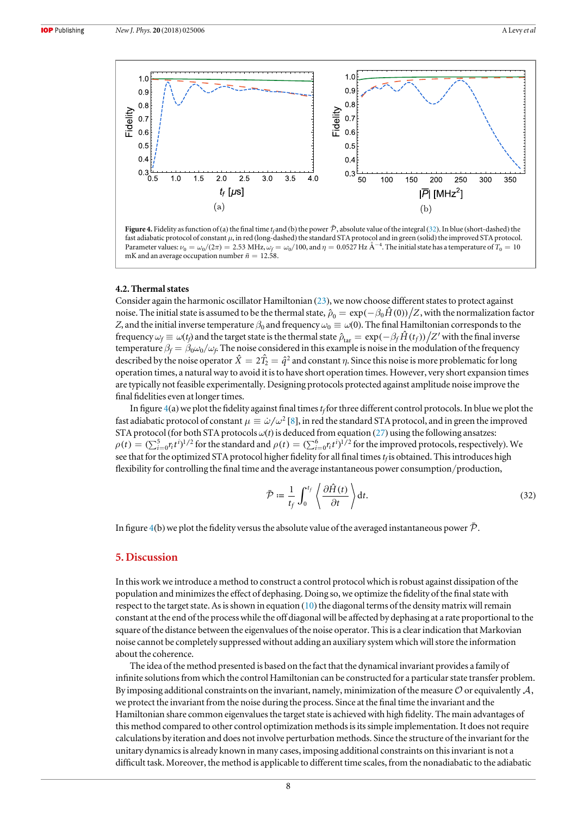<span id="page-7-0"></span>

Figure 4. Fidelity as function of (a) the final time t<sub>f</sub> and (b) the power  $\bar{\mathcal{P}}$ , absolute value of the integral (32). In blue (short-dashed) the fast adiabatic protocol of constant μ, in red (long-dashed) the standard STA protocol and in green (solid) the improved STA protocol. Parameter values:  $\nu_0 = \omega_0/(2\pi) = 2.53 \text{ MHz}, \omega_f = \omega_0/100, \text{ and } \eta = 0.0527 \text{ Hz A}^{-4}$ . The initial state has a temperature of  $T_0 = 10$ mK and an average occupation number  $\bar{n} = 12.58$ .

#### 4.2. Thermal states

Consider again the harmonic oscillator Hamiltonian ([23](#page-4-0)), we now choose different states to protect against noise. The initial state is assumed to be the thermal state,  $\hat{\rho}_0 = \exp(-\beta_0 \hat{H}(0))/Z$ , with the normalization factor Z, and the initial inverse temperature  $\beta_0$  and frequency  $\omega_0 \equiv \omega(0)$ . The final Hamiltonian corresponds to the frequency  $\omega_f \equiv \omega(t_f)$  and the target state is the thermal state  $\hat{\rho}_{tar} = \exp(-\beta_f \hat{H}(t_f))/Z'$  with the final inverse temperature  $\beta_f = \beta_0 \omega_0 / \omega_f$ . The noise considered in this example is noise in the modulation of the frequency described by the noise operator  $\hat{X} = 2\hat{T}_2 = \hat{q}^2$  and constant  $\eta$ . Since this noise is more problematic for long operation times, a natural way to avoid it is to have short operation times. However, very short expansion times are typically not feasible experimentally. Designing protocols protected against amplitude noise improve the final fidelities even at longer times.

In figure  $4(a)$  we plot the fidelity against final times  $t_f$  for three different control protocols. In blue we plot the fast adiabatic protocol of constant  $\mu \equiv \dot{\omega}/\omega^2$  [[8](#page-12-0)], in red the standard STA protocol, and in green the improved STA protocol (for both STA protocols  $\omega(t)$  is deduced from equation ([27](#page-5-0)) using the following ansatzes:  $\rho(t) = (\sum_{i=0}^{5} r_i t^i)^{1/2}$  for the standard and  $\rho(t) = (\sum_{i=0}^{6} r_i t^i)^{1/2}$  for the improved protocols, respectively). We see that for the optimized STA protocol higher fidelity for all final times  $t_f$  is obtained. This introduces high flexibility for controlling the final time and the average instantaneous power consumption/production,

$$
\bar{\mathcal{P}} := \frac{1}{t_f} \int_0^{t_f} \left\langle \frac{\partial \hat{H}(t)}{\partial t} \right\rangle dt.
$$
\n(32)

In figure 4(b) we plot the fidelity versus the absolute value of the averaged instantaneous power  $\bar{\mathcal{P}}$ .

## 5. Discussion

In this work we introduce a method to construct a control protocol which is robust against dissipation of the population and minimizes the effect of dephasing. Doing so, we optimize the fidelity of the final state with respect to the target state. As is shown in equation ([10](#page-2-0)) the diagonal terms of the density matrix will remain constant at the end of the process while the off diagonal will be affected by dephasing at a rate proportional to the square of the distance between the eigenvalues of the noise operator. This is a clear indication that Markovian noise cannot be completely suppressed without adding an auxiliary system which will store the information about the coherence.

The idea of the method presented is based on the fact that the dynamical invariant provides a family of infinite solutions from which the control Hamiltonian can be constructed for a particular state transfer problem. By imposing additional constraints on the invariant, namely, minimization of the measure  $\mathcal O$  or equivalently  $\mathcal A$ , we protect the invariant from the noise during the process. Since at the final time the invariant and the Hamiltonian share common eigenvalues the target state is achieved with high fidelity. The main advantages of this method compared to other control optimization methods is its simple implementation. It does not require calculations by iteration and does not involve perturbation methods. Since the structure of the invariant for the unitary dynamics is already known in many cases, imposing additional constraints on this invariant is not a difficult task. Moreover, the method is applicable to different time scales, from the nonadiabatic to the adiabatic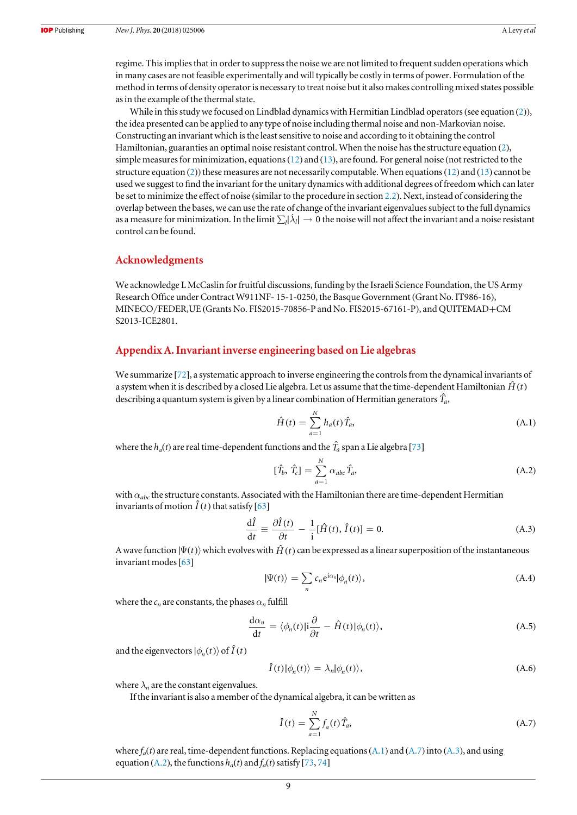<span id="page-8-0"></span>regime. This implies that in order to suppress the noise we are not limited to frequent sudden operations which in many cases are not feasible experimentally and will typically be costly in terms of power. Formulation of the method in terms of density operator is necessary to treat noise but it also makes controlling mixed states possible as in the example of the thermal state.

While in this study we focused on Lindblad dynamics with Hermitian Lindblad operators (see equation ([2](#page-1-0))), the idea presented can be applied to any type of noise including thermal noise and non-Markovian noise. Constructing an invariant which is the least sensitive to noise and according to it obtaining the control Hamiltonian, guaranties an optimal noise resistant control. When the noise has the structure equation ([2](#page-1-0)), simple measures for minimization, equations([12](#page-2-0)) and ([13](#page-2-0)), are found. For general noise (not restricted to the structure equation ([2](#page-1-0))) these measures are not necessarily computable. When equations ([12](#page-2-0)) and ([13](#page-2-0)) cannot be used we suggest to find the invariant for the unitary dynamics with additional degrees of freedom which can later be set to minimize the effect of noise (similar to the procedure in section [2.2](#page-2-0)). Next, instead of considering the overlap between the bases, we can use the rate of change of the invariant eigenvalues subject to the full dynamics as a measure for minimization. In the limit  $\sum_l |\lambda_l| \to 0$  the noise will not affect the invariant and a noise resistant control can be found.

## Acknowledgments

We acknowledge L McCaslin for fruitful discussions, funding by the Israeli Science Foundation, the US Army Research Office under Contract W911NF- 15-1-0250, the Basque Government (Grant No. IT986-16), MINECO/FEDER,UE (Grants No. FIS2015-70856-P and No. FIS2015-67161-P), and QUITEMAD+CM S2013-ICE2801.

## Appendix A. Invariant inverse engineering based on Lie algebras

We summarize [[72](#page-13-0)], a systematic approach to inverse engineering the controls from the dynamical invariants of a system when it is described by a closed Lie algebra. Let us assume that the time-dependent Hamiltonian  $\hat{H}(t)$ describing a quantum system is given by a linear combination of Hermitian generators  $\hat{T}_{a}$ ,

$$
\hat{H}(t) = \sum_{a=1}^{N} h_a(t) \hat{T}_a,
$$
\n(A.1)

where the  $h_a(t)$  are real time-dependent functions and the  $\hat{T}_a$  span a Lie algebra [[73](#page-13-0)]

$$
[\hat{T}_b, \hat{T}_c] = \sum_{a=1}^{N} \alpha_{abc} \hat{T}_a, \tag{A.2}
$$

with  $\alpha_{abc}$  the structure constants. Associated with the Hamiltonian there are time-dependent Hermitian invariants of motion  $\hat{I}(t)$  that satisfy [[63](#page-13-0)]

$$
\frac{\mathrm{d}\hat{I}}{\mathrm{d}t} \equiv \frac{\partial \hat{I}(t)}{\partial t} - \frac{1}{i} [\hat{H}(t), \hat{I}(t)] = 0.
$$
\n(A.3)

A wave function  $|\Psi(t)\rangle$  which evolves with  $\hat{H}(t)$  can be expressed as a linear superposition of the instantaneous invariant modes[[63](#page-13-0)]

$$
|\Psi(t)\rangle = \sum_{n} c_n e^{i\alpha_n} |\phi_n(t)\rangle,
$$
\n(A.4)

where the  $c_n$  are constants, the phases  $\alpha_n$  fulfill

$$
\frac{\mathrm{d}\alpha_n}{\mathrm{d}t} = \langle \phi_n(t) | \mathbf{i} \frac{\partial}{\partial t} - \hat{H}(t) | \phi_n(t) \rangle, \tag{A.5}
$$

and the eigenvectors  $|\phi_n(t)\rangle$  of  $\hat{I}(t)$ 

$$
\hat{I}(t)|\phi_n(t)\rangle = \lambda_n|\phi_n(t)\rangle,\tag{A.6}
$$

where  $\lambda_n$  are the constant eigenvalues.

If the invariant is also a member of the dynamical algebra, it can be written as

$$
\hat{I}(t) = \sum_{a=1}^{N} f_a(t) \hat{T}_a,
$$
\n(A.7)

where  $f_a(t)$  are real, time-dependent functions. Replacing equations (A.1) and (A.7) into (A.3), and using equation (A.2), the functions  $h_a(t)$  and  $f_a(t)$  satisfy [[73,](#page-13-0) [74](#page-13-0)]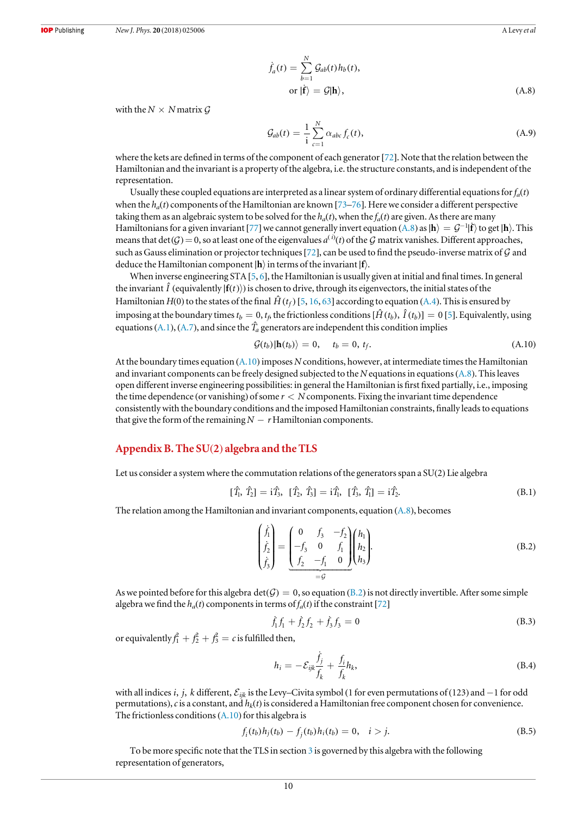$$
\dot{f}_a(t) = \sum_{b=1}^{N} \mathcal{G}_{ab}(t) h_b(t),
$$
  
or  $|\dot{\mathbf{f}}\rangle = \mathcal{G}|\mathbf{h}\rangle,$  (A.8)

<span id="page-9-0"></span>with the  $N \times N$  matrix  $\mathcal G$ 

$$
\mathcal{G}_{ab}(t) = \frac{1}{i} \sum_{c=1}^{N} \alpha_{abc} f_c(t), \tag{A.9}
$$

where the kets are defined in terms of the component of each generator [[72](#page-13-0)]. Note that the relation between the Hamiltonian and the invariant is a property of the algebra, i.e. the structure constants, and is independent of the representation.

Usually these coupled equations are interpreted as a linear system of ordinary differential equations for  $f_a(t)$ when the  $h_a(t)$  components of the Hamiltonian are known [[73](#page-13-0)–[76](#page-13-0)]. Here we consider a different perspective taking them as an algebraic system to be solved for the  $h_a(t)$ , when the  $f_a(t)$  are given. As there are many Hamiltonians for a given invariant [[77](#page-13-0)] we cannot generally invert equation ([A.8](#page-8-0)) as  $|h\rangle = G^{-1}|\mathbf{f}\rangle$  to get  $|h\rangle$ . This means that  $det(G) = 0$ , so at least one of the eigenvalues  $a^{(i)}(t)$  of the G matrix vanishes. Different approaches, such as Gauss elimination or projector techniques [[72](#page-13-0)], can be used to find the pseudo-inverse matrix of  $G$  and deduce the Hamiltonian component ∣**h**§in terms of the invariant ∣**f**§.

When inverse engineering STA [[5,](#page-12-0) [6](#page-12-0)], the Hamiltonian is usually given at initial and final times. In general the invariant  $\hat{I}$  (equivalently  $|f(t)\rangle$ ) is chosen to drive, through its eigenvectors, the initial states of the Hamiltonian  $H(0)$  to the states of the final  $\hat{H}(t_f)$  [[5,](#page-12-0) [16,](#page-12-0) [63](#page-13-0)] according to equation ([A.4](#page-8-0)). This is ensured by imposing at the boundary times  $t_b = 0$ ,  $t_f$ , the frictionless conditions  $[\hat{H}(t_b), \hat{I}(t_b)] = 0$  [[5](#page-12-0)]. Equivalently, using equations ([A.1](#page-8-0)), ([A.7](#page-8-0)), and since the  $\hat{T}_a$  generators are independent this condition implies

$$
\mathcal{G}(t_b)|\mathbf{h}(t_b)\rangle = 0, \quad t_b = 0, t_f. \tag{A.10}
$$

At the boundary times equation (A.10) imposes N conditions, however, at intermediate times the Hamiltonian and invariant components can be freely designed subjected to the N equations in equations  $(A,8)$ . This leaves open different inverse engineering possibilities: in general the Hamiltonian is first fixed partially, i.e., imposing the time dependence (or vanishing) of some  $r < N$  components. Fixing the invariant time dependence consistently with the boundary conditions and the imposed Hamiltonian constraints, finally leads to equations that give the form of the remaining  $N - r$  Hamiltonian components.

### Appendix B. The SU(2) algebra and the TLS

Let us consider a system where the commutation relations of the generators span a SU(2) Lie algebra

$$
[\hat{T}_1, \hat{T}_2] = i\hat{T}_3, [\hat{T}_2, \hat{T}_3] = i\hat{T}_1, [\hat{T}_3, \hat{T}_1] = i\hat{T}_2.
$$
\n(B.1)

The relation among the Hamiltonian and invariant components, equation ([A.8](#page-8-0)), becomes

$$
\begin{pmatrix} \dot{f}_1 \\ \dot{f}_2 \\ \dot{f}_3 \end{pmatrix} = \begin{pmatrix} 0 & f_3 & -f_2 \\ -f_3 & 0 & f_1 \\ f_2 & -f_1 & 0 \end{pmatrix} \begin{pmatrix} h_1 \\ h_2 \\ h_3 \end{pmatrix}.
$$
\n(B.2)

As we pointed before for this algebra  $det(G) = 0$ , so equation (B.2) is not directly invertible. After some simple algebra we find the  $h_a(t)$  components in terms of  $f_a(t)$  if the constraint [[72](#page-13-0)]

$$
\dot{f}_1 f_1 + \dot{f}_2 f_2 + \dot{f}_3 f_3 = 0 \tag{B.3}
$$

or equivalently  $f_1^2 + f_2^2 + f_3^2 = c$  is fulfilled then,

$$
h_i = -\mathcal{E}_{ijk}\frac{\dot{f}_j}{f_k} + \frac{f_i}{f_k}h_k,
$$
\n(B.4)

with all indices *i*, *j*, *k* different,  $\mathcal{E}_{ijk}$  is the Levy–Civita symbol (1 for even permutations of (123) and −1 for odd permutations), c is a constant, and  $h_k(t)$  is considered a Hamiltonian free component chosen for convenience. The frictionless conditions  $(A,10)$  for this algebra is

$$
f_i(t_b)h_j(t_b) - f_j(t_b)h_i(t_b) = 0, \quad i > j.
$$
\n(B.5)

To be more specific note that the TLS in section [3](#page-3-0) is governed by this algebra with the following representation of generators,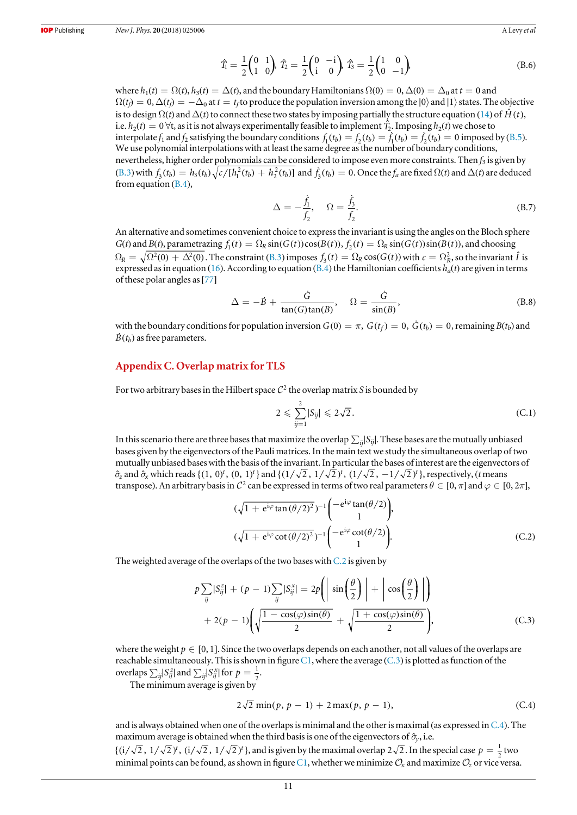$$
\hat{T}_1 = \frac{1}{2} \begin{pmatrix} 0 & 1 \\ 1 & 0 \end{pmatrix} \hat{T}_2 = \frac{1}{2} \begin{pmatrix} 0 & -i \\ i & 0 \end{pmatrix} \hat{T}_3 = \frac{1}{2} \begin{pmatrix} 1 & 0 \\ 0 & -1 \end{pmatrix}
$$
 (B.6)

<span id="page-10-0"></span>where  $h_1(t) = \Omega(t)$ ,  $h_3(t) = \Delta(t)$ , and the boundary Hamiltonians  $\Omega(0) = 0$ ,  $\Delta(0) = \Delta_0$  at  $t = 0$  and  $\Omega(t_i) = 0$ ,  $\Delta(t_i) = -\Delta_0$  at  $t = t_i$  to produce the population inversion among the  $|0\rangle$  and  $|1\rangle$  states. The objective is to design  $\Omega(t)$  and  $\Delta(t)$  to connect these two states by imposing partially the structure equation ([14](#page-3-0)) of  $\hat{H}(t)$ , i.e.  $h_2(t)=0$   $\forall$ t, as it is not always experimentally feasible to implement  $\hat{T}_2$ . Imposing  $h_2(t)$  we chose to interpolate  $f_1$  and  $f_2$  satisfying the boundary conditions  $f_1(t_b) = f_2(t_b) = \dot{f}_1(t_b) = \dot{f}_2(t_b) = 0$  imposed by ([B.5](#page-9-0)). We use polynomial interpolations with at least the same degree as the number of boundary conditions, nevertheless, higher order polynomials can be considered to impose even more constraints. Then  $f_3$  is given by ([B.3](#page-9-0)) with  $f_3(t_b) = h_3(t_b)\sqrt{c/[h_1^2(t_b) + h_2^2(t_b)]}$  and  $\dot{f}_3(t_b) = 0$ . Once the  $f_a$  are fixed  $\Omega(t)$  and  $\Delta(t)$  are deduced from equation ([B.4](#page-9-0)),

$$
\Delta = -\frac{\dot{f}_1}{f_2}, \quad \Omega = \frac{\dot{f}_3}{f_2}.
$$
\n(B.7)

An alternative and sometimes convenient choice to express the invariant is using the angles on the Bloch sphere  $G(t)$  and  $B(t)$ , parametrazing  $f_1(t) = \Omega_R \sin(G(t)) \cos(B(t))$ ,  $f_2(t) = \Omega_R \sin(G(t)) \sin(B(t))$ , and choosing  $\Omega_R = \sqrt{\Omega^2(0) + \Delta^2(0)}$ . The constraint ([B.3](#page-9-0)) imposes  $f_3(t) = \Omega_R \cos(G(t))$  with  $c = \Omega_R^2$ , so the invariant  $\hat{I}$  is expressed as in equation ([16](#page-3-0)). According to equation ([B.4](#page-9-0)) the Hamiltonian coefficients  $h_a(t)$  are given in terms of these polar angles as[[77](#page-13-0)]

$$
\Delta = -\dot{B} + \frac{\dot{G}}{\tan(G)\tan(B)}, \quad \Omega = \frac{\dot{G}}{\sin(B)},
$$
\n(B.8)

with the boundary conditions for population inversion  $G(0) = \pi$ ,  $G(t_f) = 0$ ,  $G(t_b) = 0$ , remaining  $B(t_b)$  and  $\dot{B}(t_b)$  as free parameters.

## Appendix C. Overlap matrix for TLS

For two arbitrary bases in the Hilbert space  $C^2$  the overlap matrix S is bounded by

$$
2 \leqslant \sum_{ij=1}^{2} |S_{ij}| \leqslant 2\sqrt{2}.
$$
 (C.1)

In this scenario there are three bases that maximize the overlap  $\sum_{ij} |S_{ij}|$ . These bases are the mutually unbiased bases given by the eigenvectors of the Pauli matrices. In the main text we study the simultaneous overlap of two mutually unbiased bases with the basis of the invariant. In particular the bases of interest are the eigenvectors of  $\hat{\sigma}_z$  and  $\hat{\sigma}_x$  which reads {(1, 0)<sup>t</sup>, (0, 1)<sup>t</sup>} and {(1/ $\sqrt{2}$ , 1/ $\sqrt{2}$ )<sup>t</sup>, (1/ $\sqrt{2}$ , -1/ $\sqrt{2}$ )<sup>t</sup>}, respectively, (*t* means transpose). An arbitrary basis in  $\mathcal{C}^2$  can be expressed in terms of two real parameters  $\theta \in [0, \pi]$  and  $\varphi \in [0, 2\pi]$ ,

$$
(\sqrt{1+e^{i\varphi}\tan(\theta/2)^2})^{-1}\begin{pmatrix}-e^{i\varphi}\tan(\theta/2)\\1\end{pmatrix},
$$
  

$$
(\sqrt{1+e^{i\varphi}\cot(\theta/2)^2})^{-1}\begin{pmatrix}-e^{i\varphi}\cot(\theta/2)\\1\end{pmatrix}.
$$
 (C.2)

The weighted average of the overlaps of the two bases with C.2 is given by

$$
p\sum_{ij}|S_{ij}^z| + (p-1)\sum_{ij}|S_{ij}^x| = 2p\left(\left|\sin\left(\frac{\theta}{2}\right)\right| + \left|\cos\left(\frac{\theta}{2}\right)\right|\right) + 2(p-1)\left(\sqrt{\frac{1-\cos(\varphi)\sin(\theta)}{2}} + \sqrt{\frac{1+\cos(\varphi)\sin(\theta)}{2}}\right),\tag{C.3}
$$

where the weight  $p \in [0, 1]$ . Since the two overlaps depends on each another, not all values of the overlaps are reachable simultaneously. This is shown in figure  $Cl$ , where the average ( $C.3$ ) is plotted as function of the overlaps  $\sum_{ij} |S_{ij}^z|$  and  $\sum_{ij} |S_{ij}^x|$  for  $p = \frac{1}{2}$ .

The minimum average is given by

$$
2\sqrt{2}\min(p, p-1) + 2\max(p, p-1),
$$
 (C.4)

and is always obtained when one of the overlaps is minimal and the other is maximal (as expressed in  $C.4$ ). The maximum average is obtained when the third basis is one of the eigenvectors of  $\hat{\sigma}_y$ , i.e.  $\{(i/\sqrt{2}, 1/\sqrt{2})^t, (i/\sqrt{2}, 1/\sqrt{2})^t\}$ , and is given by the maximal overlap  $2\sqrt{2}$ . In the special case  $p = \frac{1}{2}$  two minimal points can be found, as shown in figure [C1](#page-11-0), whether we minimize  $\mathcal{O}_x$  and maximize  $\mathcal{O}_z$  or vice versa.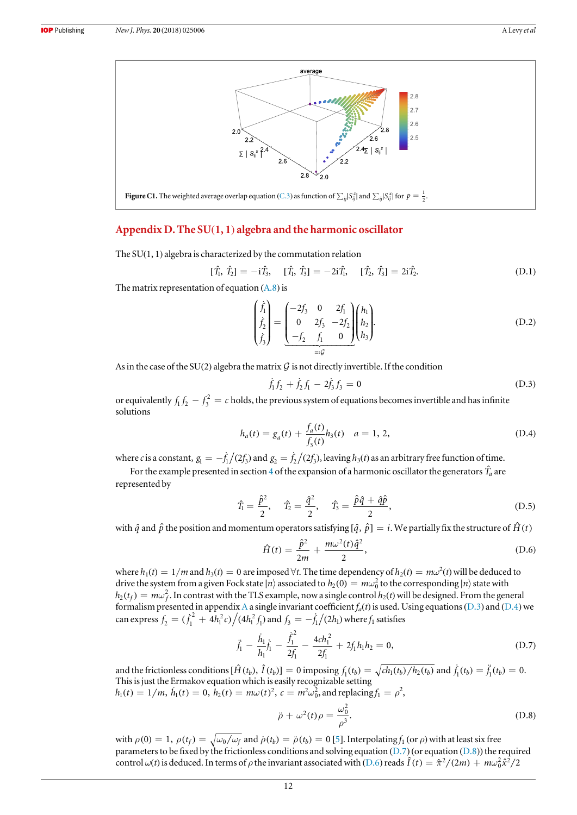<span id="page-11-0"></span>

## Appendix D. The SU(1, 1) algebra and the harmonic oscillator

The  $SU(1, 1)$  algebra is characterized by the commutation relation

$$
[\hat{T}_1, \hat{T}_2] = -i\hat{T}_3, \quad [\hat{T}_1, \hat{T}_3] = -2i\hat{T}_1, \quad [\hat{T}_2, \hat{T}_3] = 2i\hat{T}_2.
$$
 (D.1)

The matrix representation of equation  $(A.8)$  $(A.8)$  $(A.8)$  is

$$
\begin{pmatrix} \dot{f}_1 \\ \dot{f}_2 \\ \dot{f}_3 \end{pmatrix} = \begin{pmatrix} -2f_3 & 0 & 2f_1 \\ 0 & 2f_3 & -2f_2 \\ -f_2 & f_1 & 0 \end{pmatrix} \begin{pmatrix} h_1 \\ h_2 \\ h_3 \end{pmatrix}.
$$
\n(D.2)

As in the case of the SU(2) algebra the matrix G is not directly invertible. If the condition

$$
\dot{f}_1 f_2 + \dot{f}_2 f_1 - 2\dot{f}_3 f_3 = 0 \tag{D.3}
$$

or equivalently  $f_1 f_2 - f_3^2 = c$  holds, the previous system of equations becomes invertible and has infinite solutions

$$
h_a(t) = g_a(t) + \frac{f_a(t)}{f_3(t)} h_3(t) \quad a = 1, 2,
$$
\n(D.4)

where c is a constant,  $g_1 = -f_1/(2f_3)$  and  $g_2 = f_2/(2f_3)$ , leaving  $h_3(t)$  as an arbitrary free function of time.

For the example presented in section [4](#page-4-0) of the expansion of a harmonic oscillator the generators  $\hat{T}_a$  are represented by

$$
\hat{T}_1 = \frac{\hat{p}^2}{2}, \quad \hat{T}_2 = \frac{\hat{q}^2}{2}, \quad \hat{T}_3 = \frac{\hat{p}\hat{q} + \hat{q}\hat{p}}{2},
$$
\n(D.5)

with  $\hat{q}$  and  $\hat{p}$  the position and momentum operators satisfying  $[\hat{q}, \hat{p}] = i$ . We partially fix the structure of  $\hat{H}(t)$ 

$$
\hat{H}(t) = \frac{\hat{p}^2}{2m} + \frac{m\omega^2(t)\hat{q}^2}{2},
$$
\n(D.6)

where  $h_1(t) = 1/m$  and  $h_3(t) = 0$  are imposed  $\forall t$ . The time dependency of  $h_2(t) = m\omega^2(t)$  will be deduced to drive the system from a given Fock state  $\ket{n}$  associated to  $h_2(0) = m\omega_0^2$  to the corresponding  $\ket{n}$  state with  $h_2(t_f) = m\omega_f^2$ . In contrast with the TLS example, now a single control  $h_2(t)$  will be designed. From the general formalism presented in appendix [A](#page-8-0) a single invariant coefficient  $f_a(t)$  is used. Using equations (D.3) and (D.4) we can express  $f_2 = (\dot{f}_1^2 + 4h_1^2 c)/(4h_1^2 f_1)$  $\int_1^2 c ) \Big/ (4 h^2_\textnormal{l} \, f^{}_\textnormal{l})$  and  $f^{}_3 = - \dot{f}^{}_1 \big/ (2 h^{}_\textnormal{l})$  where  $f^{}_1$  satisfies

$$
\ddot{f}_1 - \frac{\dot{h}_1}{h_1}\dot{f}_1 - \frac{\dot{f}_1^2}{2f_1} - \frac{4ch_1^2}{2f_1} + 2f_1h_1h_2 = 0,
$$
\n(D.7)

and the frictionless conditions  $[\hat{H}(t_b), \hat{I}(t_b)] = 0$  imposing  $f_1(t_b) = \sqrt{ch_1(t_b)/h_2(t_b)}$  and  $\dot{f}_1(t_b) = \ddot{f}_1(t_b) = 0$ . This is just the Ermakov equation which is easily recognizable setting  $h_1(t) = 1/m$ ,  $\dot{h}_1(t) = 0$ ,  $\dot{h}_2(t) = m\omega(t)^2$ ,  $c = m^2\omega_0^2$ , and replacing  $f_1 = \rho^2$ ,

$$
\ddot{\rho} + \omega^2(t)\rho = \frac{\omega_0^2}{\rho^3}.
$$
 (D.8)

with  $\rho(0) = 1$ ,  $\rho(t_f) = \sqrt{\omega_0/\omega_f}$  and  $\dot{\rho}(t_b) = \ddot{\rho}(t_b) = 0$  [[5](#page-12-0)]. Interpolating  $f_1$  (or  $\rho$ ) with at least six free parameters to be fixed by the frictionless conditions and solving equation  $(D.7)$  (or equation  $(D.8)$ ) the required control  $\omega(t)$  is deduced. In terms of  $\rho$  the invariant associated with (D.6) reads  $\hat{I}(t) = \hat{\pi}^2/(2m) + m\omega_0^2\hat{x}^2/2$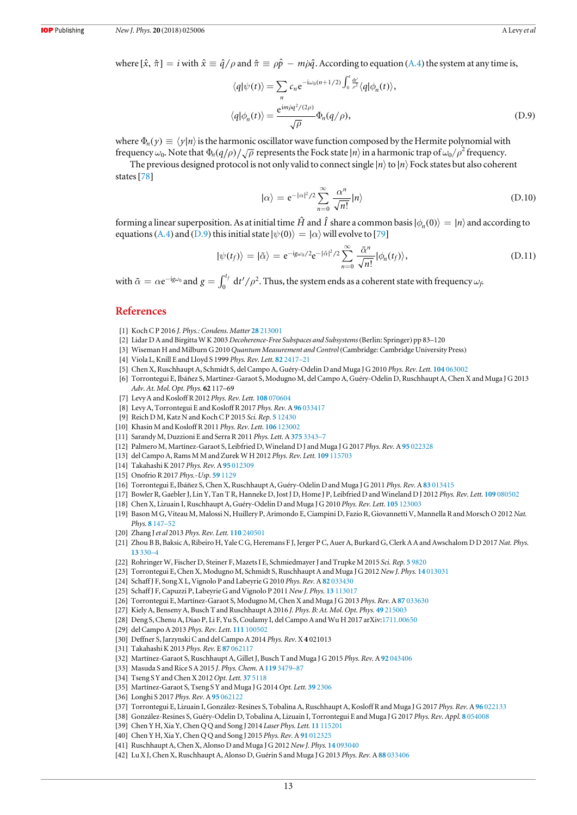<span id="page-12-0"></span>where  $[\hat{x}, \hat{\pi}] = i$  with  $\hat{x} \equiv \hat{q}/\rho$  and  $\hat{\pi} \equiv \rho \hat{p} - m \rho \hat{q}$ . According to equation ([A.4](#page-8-0)) the system at any time is,

$$
\langle q|\psi(t)\rangle = \sum_{n} c_{n} e^{-i\omega_{0}(n+1/2)} \int_{0}^{t} \frac{dt'}{\rho^{2}} \langle q|\phi_{n}(t)\rangle,
$$
  

$$
\langle q|\phi_{n}(t)\rangle = \frac{e^{im\hat{\rho}q^{2}/(2\rho)}}{\sqrt{\rho}} \Phi_{n}(q/\rho),
$$
 (D.9)

where  $\Phi_n(y) \equiv \langle y | n \rangle$  is the harmonic oscillator wave function composed by the Hermite polynomial with frequency  $\omega_0$ . Note that  $\Phi_n(q/\rho)/\sqrt{\rho}$  represents the Fock state  $|n\rangle$  in a harmonic trap of  $\omega_0/\rho^2$  frequency.

The previous designed protocol is not only valid to connect single ∣*n*§to ∣*n*§Fock states but also coherent states<sup>[[78](#page-13-0)]</sup>

$$
|\alpha\rangle = e^{-|\alpha|^2/2} \sum_{n=0}^{\infty} \frac{\alpha^n}{\sqrt{n!}} |n\rangle
$$
 (D.10)

forming a linear superposition. As at initial time  $\hat{H}$  and  $\hat{I}$  share a common basis  $|\phi_n(0)\rangle = |n\rangle$  and according to equations ([A.4](#page-8-0)) and (D.9) this initial state  $|\psi(0)\rangle = |\alpha\rangle$  will evolve to [[79](#page-13-0)]

$$
|\psi(t_f)\rangle = |\tilde{\alpha}\rangle = e^{-ig\omega_0/2}e^{-|\tilde{\alpha}|^2/2}\sum_{n=0}^{\infty} \frac{\tilde{\alpha}^n}{\sqrt{n!}}|\phi_n(t_f)\rangle,
$$
 (D.11)

with  $\tilde{\alpha} = \alpha e^{-ig\omega_0}$  and  $g = \int_0^{t_f} dt'/\rho$  $^{f}$  d $t'/\rho^2.$  Thus, the system ends as a coherent state with frequency  $\omega_f$ 

## **References**

- [1] Koch C P 2016 J. Phys.: Condens. Matter 28 [213001](https://doi.org/10.1088/0953-8984/28/21/213001)
- [2] Lidar D A and Birgitta W K 2003 Decoherence-Free Subspaces and Subsystems (Berlin: Springer) pp 83–120
- [3] Wiseman H and Milburn G 2010 Quantum Measurement and Control (Cambridge: Cambridge University Press)
- [4] Viola L, Knill E and Lloyd S 1999 Phys. Rev. Lett. 82 [2417](https://doi.org/10.1103/PhysRevLett.82.2417)–21
- [5] Chen X, Ruschhaupt A, Schmidt S, del Campo A, Guéry-Odelin D and Muga J G 2010 Phys. Rev. Lett. 104 [063002](https://doi.org/10.1103/PhysRevLett.104.063002)
- [6] Torrontegui E, Ibáñez S, Martínez-Garaot S, Modugno M, del Campo A, Guéry-Odelin D, Ruschhaupt A, Chen X and Muga J G 2013 Adv. At. Mol. Opt. Phys. 62 117–69
- [7] Levy A and Kosloff R 2012 Phys. Rev. Lett. 108 [070604](https://doi.org/10.1103/PhysRevLett.108.070604)
- [8] Levy A, Torrontegui E and Kosloff R 2017 Phys. Rev. A 96 [033417](https://doi.org/10.1103/PhysRevA.96.033417)
- [9] Reich D M, Katz N and Koch C P 2015 Sci. Rep. 5 [12430](https://doi.org/10.1038/srep12430)
- [10] Khasin M and Kosloff R 2011 Phys. Rev. Lett. 106 [123002](https://doi.org/10.1103/PhysRevLett.106.123002)
- [11] Sarandy M, Duzzioni E and Serra R 2011 Phys. Lett. A 375 [3343](https://doi.org/10.1016/j.physleta.2011.07.041)-7
- [12] Palmero M, Martínez-Garaot S, Leibfried D, Wineland D J and Muga J G 2017 Phys. Rev. A 95 [022328](https://doi.org/10.1103/PhysRevA.95.022328)
- [13] del Campo A, Rams M M and Zurek W H 2012 Phys. Rev. Lett. 109 [115703](https://doi.org/10.1103/PhysRevLett.109.115703)
- [14] Takahashi K 2017 Phys. Rev. A 95 [012309](https://doi.org/10.1103/PhysRevA.95.012309)
- [15] Onofrio R 2017 Phys.-Usp. 59 [1129](https://doi.org/10.3367/UFNe.2016.07.037873)
- [16] Torrontegui E, Ibáñez S, Chen X, Ruschhaupt A, Guéry-Odelin D and Muga J G 2011 Phys. Rev. A 83 [013415](https://doi.org/10.1103/PhysRevA.83.013415)
- [17] Bowler R, Gaebler J, Lin Y, Tan T R, Hanneke D, Jost J D, Home J P, Leibfried D and Wineland D J 2012 Phys. Rev. Lett. 109 [080502](https://doi.org/10.1103/PhysRevLett.109.080502)
- [18] Chen X, Lizuain I, Ruschhaupt A, Guéry-Odelin D and Muga J G 2010 Phys. Rev. Lett. 105 [123003](https://doi.org/10.1103/PhysRevLett.105.123003)
- [19] Bason M G, Viteau M, Malossi N, Huillery P, Arimondo E, Ciampini D, Fazio R, Giovannetti V, Mannella R and Morsch O 2012 Nat. Phys. 8 [147](https://doi.org/10.1038/nphys2170)–52
- [20] Zhang J et al 2013 Phys. Rev. Lett. 110 [240501](https://doi.org/10.1103/PhysRevLett.110.240501)
- [21] Zhou B B, Baksic A, Ribeiro H, Yale C G, Heremans F J, Jerger P C, Auer A, Burkard G, Clerk A A and Awschalom D D 2017 Nat. Phys. 13 [330](https://doi.org/10.1038/nphys3967)–4
- [22] Rohringer W, Fischer D, Steiner F, Mazets I E, Schmiedmayer J and Trupke M 2015 Sci. Rep. 5 [9820](https://doi.org/10.1038/srep09820)
- [23] Torrontegui E, Chen X, Modugno M, Schmidt S, Ruschhaupt A and Muga J G 2012 New J. Phys. 14 [013031](https://doi.org/10.1088/1367-2630/14/1/013031)
- [24] Schaff J F, Song X L, Vignolo P and Labeyrie G 2010 Phys. Rev. A 82 [033430](https://doi.org/10.1103/PhysRevA.82.033430)
- [25] Schaff J F, Capuzzi P, Labeyrie G and Vignolo P 2011 New J. Phys. 13 [113017](https://doi.org/10.1088/1367-2630/13/11/113017)
- [26] Torrontegui E, Martínez-Garaot S, Modugno M, Chen X and Muga J G 2013 Phys. Rev. A87 [033630](https://doi.org/10.1103/PhysRevA.87.033630)
- [27] Kiely A, Benseny A, Busch T and Ruschhaupt A 2016 J. Phys. B: At. Mol. Opt. Phys. 49 [215003](https://doi.org/10.1088/0953-4075/49/21/215003)
- [28] Deng S, Chenu A, Diao P, Li F, Yu S, Coulamy I, del Campo A and Wu H 2017 arXiv[:1711.00650](http://arxiv.org/abs/1711.00650)
- [29] del Campo A 2013 Phys. Rev. Lett. 111 [100502](https://doi.org/10.1103/PhysRevLett.111.100502)
- [30] Deffner S, Jarzynski C and del Campo A 2014 Phys. Rev. X4 021013
- [31] Takahashi K 2013 Phys. Rev. E 87 [062117](https://doi.org/10.1103/PhysRevE.87.062117)
- [32] Martínez-Garaot S, Ruschhaupt A, Gillet J, Busch T and Muga J G 2015 Phys. Rev. A 92 [043406](https://doi.org/10.1103/PhysRevA.92.043406)
- [33] Masuda S and Rice S A 2015 J. Phys. Chem. A 119 [3479](https://doi.org/10.1021/acs.jpca.5b00525)-87
- [34] Tseng S Y and Chen X 2012 Opt. Lett. 37 [5118](https://doi.org/10.1364/OL.37.005118)
- [35] Martínez-Garaot S, Tseng SY and Muga J G 2014 Opt. Lett. 39 [2306](https://doi.org/10.1364/OL.39.002306)
- [36] Longhi S 2017 Phys. Rev. A 95 [062122](https://doi.org/10.1103/PhysRevA.95.062122)
- [37] Torrontegui E, Lizuain I, González-Resines S, Tobalina A, Ruschhaupt A, Kosloff R and Muga J G 2017 Phys. Rev. A 96 [022133](https://doi.org/10.1103/PhysRevA.96.022133)
- [38] González-Resines S, Guéry-Odelin D, Tobalina A, Lizuain I, Torrontegui E and Muga J G 2017 Phys. Rev. Appl. 8 [054008](https://doi.org/10.1103/PhysRevApplied.8.054008)
- [39] Chen Y H, Xia Y, Chen Q Q and Song J 2014 Laser Phys. Lett. 11 [115201](https://doi.org/10.1088/1612-2011/11/11/115201)
- [40] Chen Y H, Xia Y, Chen Q Q and Song J 2015 Phys. Rev. A 91 [012325](https://doi.org/10.1103/PhysRevA.91.012325)
- [41] Ruschhaupt A, Chen X, Alonso D and Muga J G 2012 New J. Phys. 14 [093040](https://doi.org/10.1088/1367-2630/14/9/093040)
- [42] Lu X J, Chen X, Ruschhaupt A, Alonso D, Guérin S and Muga J G 2013 Phys. Rev. A 88 [033406](https://doi.org/10.1103/PhysRevA.88.033406)